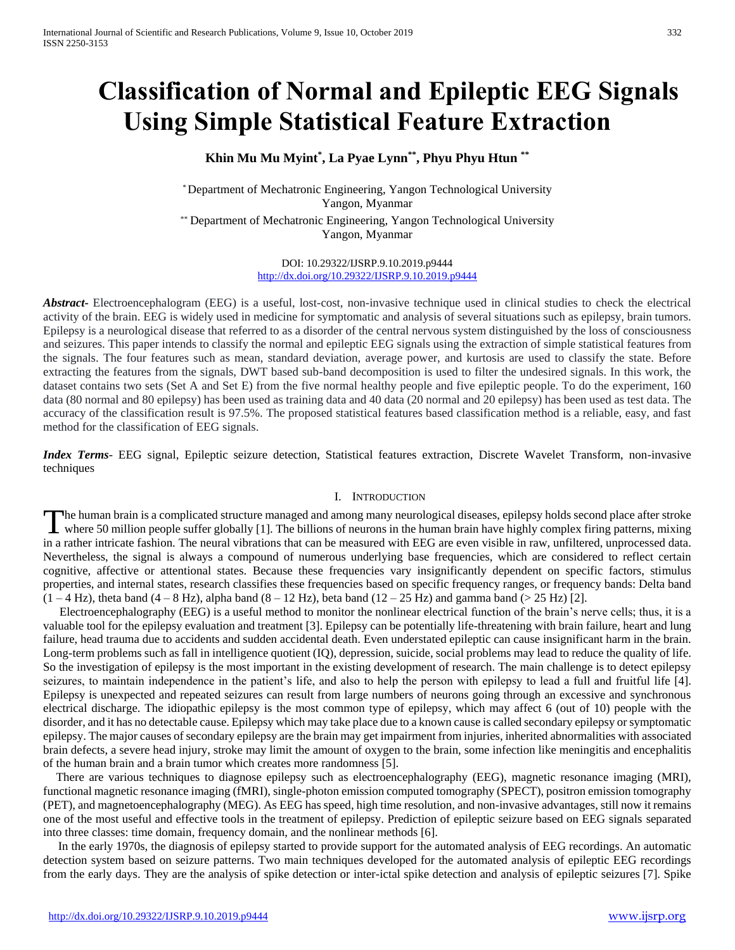# **Classification of Normal and Epileptic EEG Signals Using Simple Statistical Feature Extraction**

# **Khin Mu Mu Myint\* , La Pyae Lynn\*\*, Phyu Phyu Htun \*\***

*\** Department of Mechatronic Engineering, Yangon Technological University Yangon, Myanmar

*\*\** Department of Mechatronic Engineering, Yangon Technological University Yangon, Myanmar

> DOI: 10.29322/IJSRP.9.10.2019.p9444 <http://dx.doi.org/10.29322/IJSRP.9.10.2019.p9444>

*Abstract***-** Electroencephalogram (EEG) is a useful, lost-cost, non-invasive technique used in clinical studies to check the electrical activity of the brain. EEG is widely used in medicine for symptomatic and analysis of several situations such as epilepsy, brain tumors. Epilepsy is a neurological disease that referred to as a disorder of the central nervous system distinguished by the loss of consciousness and seizures. This paper intends to classify the normal and epileptic EEG signals using the extraction of simple statistical features from the signals. The four features such as mean, standard deviation, average power, and kurtosis are used to classify the state. Before extracting the features from the signals, DWT based sub-band decomposition is used to filter the undesired signals. In this work, the dataset contains two sets (Set A and Set E) from the five normal healthy people and five epileptic people. To do the experiment, 160 data (80 normal and 80 epilepsy) has been used as training data and 40 data (20 normal and 20 epilepsy) has been used as test data. The accuracy of the classification result is 97.5%. The proposed statistical features based classification method is a reliable, easy, and fast method for the classification of EEG signals.

*Index Terms*- EEG signal, Epileptic seizure detection, Statistical features extraction, Discrete Wavelet Transform, non-invasive techniques

#### I. INTRODUCTION

he human brain is a complicated structure managed and among many neurological diseases, epilepsy holds second place after stroke The human brain is a complicated structure managed and among many neurological diseases, epilepsy holds second place after stroke where 50 million people suffer globally [1]. The billions of neurons in the human brain have in a rather intricate fashion. The neural vibrations that can be measured with EEG are even visible in raw, unfiltered, unprocessed data. Nevertheless, the signal is always a compound of numerous underlying base frequencies, which are considered to reflect certain cognitive, affective or attentional states. Because these frequencies vary insignificantly dependent on specific factors, stimulus properties, and internal states, research classifies these frequencies based on specific frequency ranges, or frequency bands: Delta band  $(1 - 4 \text{ Hz})$ , theta band  $(4 - 8 \text{ Hz})$ , alpha band  $(8 - 12 \text{ Hz})$ , beta band  $(12 - 25 \text{ Hz})$  and gamma band  $(> 25 \text{ Hz})$  [2].

Electroencephalography (EEG) is a useful method to monitor the nonlinear electrical function of the brain's nerve cells; thus, it is a valuable tool for the epilepsy evaluation and treatment [3]. Epilepsy can be potentially life-threatening with brain failure, heart and lung failure, head trauma due to accidents and sudden accidental death. Even understated epileptic can cause insignificant harm in the brain. Long-term problems such as fall in intelligence quotient (IQ), depression, suicide, social problems may lead to reduce the quality of life. So the investigation of epilepsy is the most important in the existing development of research. The main challenge is to detect epilepsy seizures, to maintain independence in the patient's life, and also to help the person with epilepsy to lead a full and fruitful life [4]. Epilepsy is unexpected and repeated seizures can result from large numbers of neurons going through an excessive and synchronous electrical discharge. The idiopathic epilepsy is the most common type of epilepsy, which may affect 6 (out of 10) people with the disorder, and it has no detectable cause. Epilepsy which may take place due to a known cause is called secondary epilepsy or symptomatic epilepsy. The major causes of secondary epilepsy are the brain may get impairment from injuries, inherited abnormalities with associated brain defects, a severe head injury, stroke may limit the amount of oxygen to the brain, some infection like meningitis and encephalitis of the human brain and a brain tumor which creates more randomness [5].

There are various techniques to diagnose epilepsy such as electroencephalography (EEG), magnetic resonance imaging (MRI), functional magnetic resonance imaging (fMRI), single-photon emission computed tomography (SPECT), positron emission tomography (PET), and magnetoencephalography (MEG). As EEG has speed, high time resolution, and non-invasive advantages, still now it remains one of the most useful and effective tools in the treatment of epilepsy. Prediction of epileptic seizure based on EEG signals separated into three classes: time domain, frequency domain, and the nonlinear methods [6].

 In the early 1970s, the diagnosis of epilepsy started to provide support for the automated analysis of EEG recordings. An automatic detection system based on seizure patterns. Two main techniques developed for the automated analysis of epileptic EEG recordings from the early days. They are the analysis of spike detection or inter-ictal spike detection and analysis of epileptic seizures [7]. Spike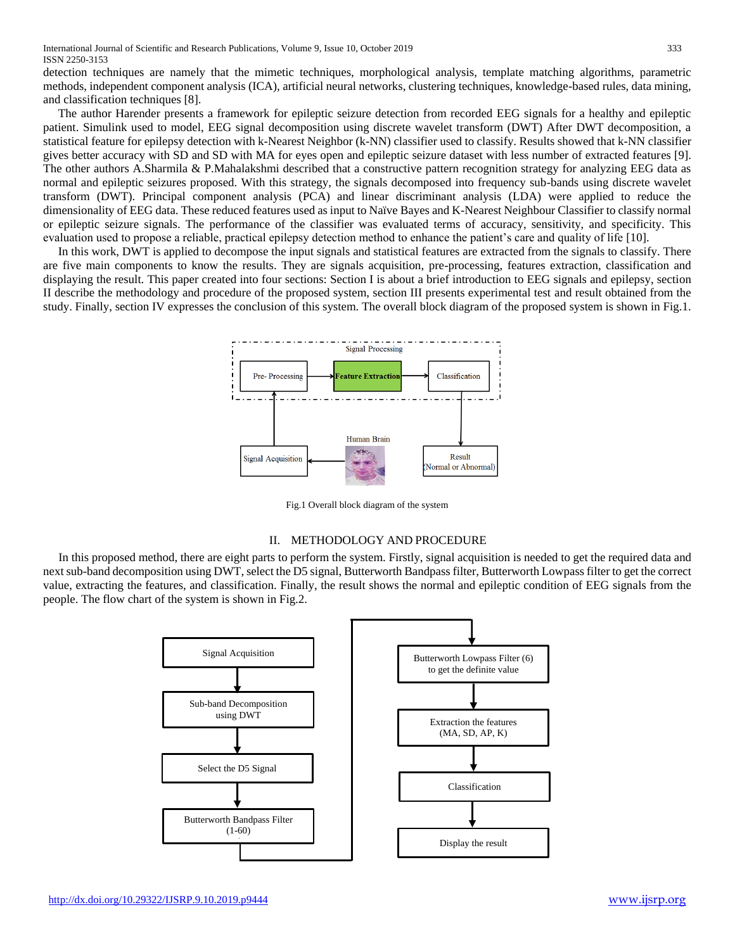detection techniques are namely that the mimetic techniques, morphological analysis, template matching algorithms, parametric methods, independent component analysis (ICA), artificial neural networks, clustering techniques, knowledge-based rules, data mining, and classification techniques [8].

 The author Harender presents a framework for epileptic seizure detection from recorded EEG signals for a healthy and epileptic patient. Simulink used to model, EEG signal decomposition using discrete wavelet transform (DWT) After DWT decomposition, a statistical feature for epilepsy detection with k-Nearest Neighbor (k-NN) classifier used to classify. Results showed that k-NN classifier gives better accuracy with SD and SD with MA for eyes open and epileptic seizure dataset with less number of extracted features [9]. The other authors A.Sharmila & P.Mahalakshmi described that a constructive pattern recognition strategy for analyzing EEG data as normal and epileptic seizures proposed. With this strategy, the signals decomposed into frequency sub-bands using discrete wavelet transform (DWT). Principal component analysis (PCA) and linear discriminant analysis (LDA) were applied to reduce the dimensionality of EEG data. These reduced features used as input to Naïve Bayes and K-Nearest Neighbour Classifier to classify normal or epileptic seizure signals. The performance of the classifier was evaluated terms of accuracy, sensitivity, and specificity. This evaluation used to propose a reliable, practical epilepsy detection method to enhance the patient's care and quality of life [10].

 In this work, DWT is applied to decompose the input signals and statistical features are extracted from the signals to classify. There are five main components to know the results. They are signals acquisition, pre-processing, features extraction, classification and displaying the result. This paper created into four sections: Section I is about a brief introduction to EEG signals and epilepsy, section II describe the methodology and procedure of the proposed system, section III presents experimental test and result obtained from the study. Finally, section IV expresses the conclusion of this system. The overall block diagram of the proposed system is shown in Fig.1.



Fig.1 Overall block diagram of the system

#### II. METHODOLOGY AND PROCEDURE

In this proposed method, there are eight parts to perform the system. Firstly, signal acquisition is needed to get the required data and next sub-band decomposition using DWT, select the D5 signal, Butterworth Bandpass filter, Butterworth Lowpass filter to get the correct value, extracting the features, and classification. Finally, the result shows the normal and epileptic condition of EEG signals from the people. The flow chart of the system is shown in Fig.2.

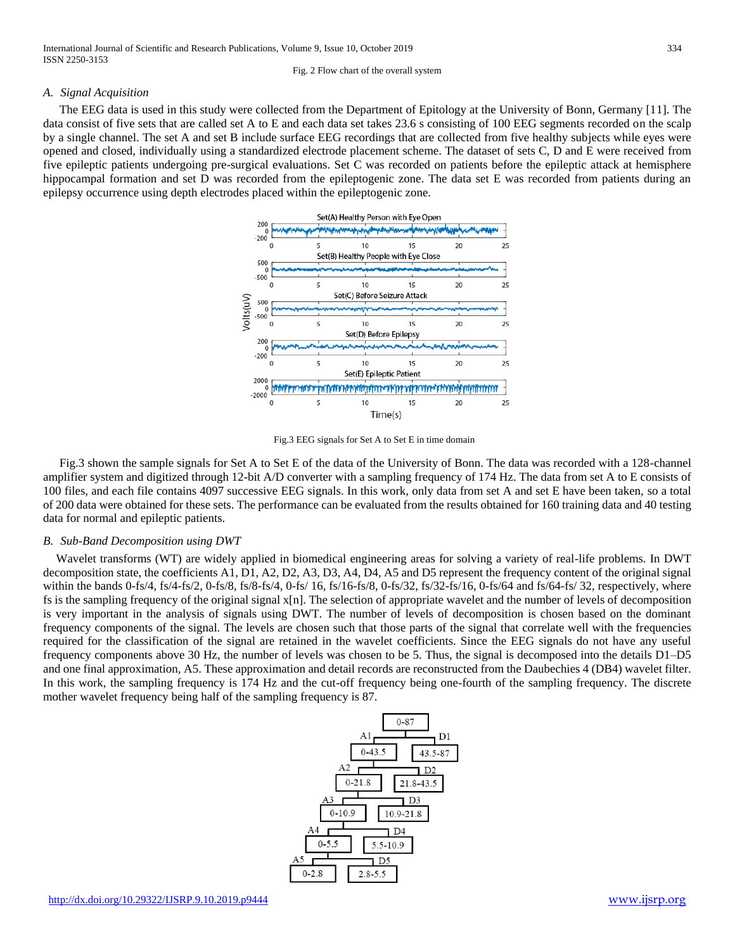# *A. Signal Acquisition*

The EEG data is used in this study were collected from the Department of Epitology at the University of Bonn, Germany [11]. The data consist of five sets that are called set A to E and each data set takes 23.6 s consisting of 100 EEG segments recorded on the scalp by a single channel. The set A and set B include surface EEG recordings that are collected from five healthy subjects while eyes were opened and closed, individually using a standardized electrode placement scheme. The dataset of sets C, D and E were received from five epileptic patients undergoing pre-surgical evaluations. Set C was recorded on patients before the epileptic attack at hemisphere hippocampal formation and set D was recorded from the epileptogenic zone. The data set E was recorded from patients during an epilepsy occurrence using depth electrodes placed within the epileptogenic zone.



Fig.3 EEG signals for Set A to Set E in time domain

Fig.3 shown the sample signals for Set A to Set E of the data of the University of Bonn. The data was recorded with a 128-channel amplifier system and digitized through 12-bit A/D converter with a sampling frequency of 174 Hz. The data from set A to E consists of 100 files, and each file contains 4097 successive EEG signals. In this work, only data from set A and set E have been taken, so a total of 200 data were obtained for these sets. The performance can be evaluated from the results obtained for 160 training data and 40 testing data for normal and epileptic patients.

#### *B. Sub-Band Decomposition using DWT*

Wavelet transforms (WT) are widely applied in biomedical engineering areas for solving a variety of real-life problems. In DWT decomposition state, the coefficients A1, D1, A2, D2, A3, D3, A4, D4, A5 and D5 represent the frequency content of the original signal within the bands 0-fs/4, fs/4-fs/2, 0-fs/8, fs/8-fs/4, 0-fs/ 16, fs/16-fs/8, 0-fs/32, fs/32-fs/16, 0-fs/64 and fs/64-fs/ 32, respectively, where fs is the sampling frequency of the original signal x[n]. The selection of appropriate wavelet and the number of levels of decomposition is very important in the analysis of signals using DWT. The number of levels of decomposition is chosen based on the dominant frequency components of the signal. The levels are chosen such that those parts of the signal that correlate well with the frequencies required for the classification of the signal are retained in the wavelet coefficients. Since the EEG signals do not have any useful frequency components above 30 Hz, the number of levels was chosen to be 5. Thus, the signal is decomposed into the details D1–D5 and one final approximation, A5. These approximation and detail records are reconstructed from the Daubechies 4 (DB4) wavelet filter. In this work, the sampling frequency is 174 Hz and the cut-off frequency being one-fourth of the sampling frequency. The discrete mother wavelet frequency being half of the sampling frequency is 87.

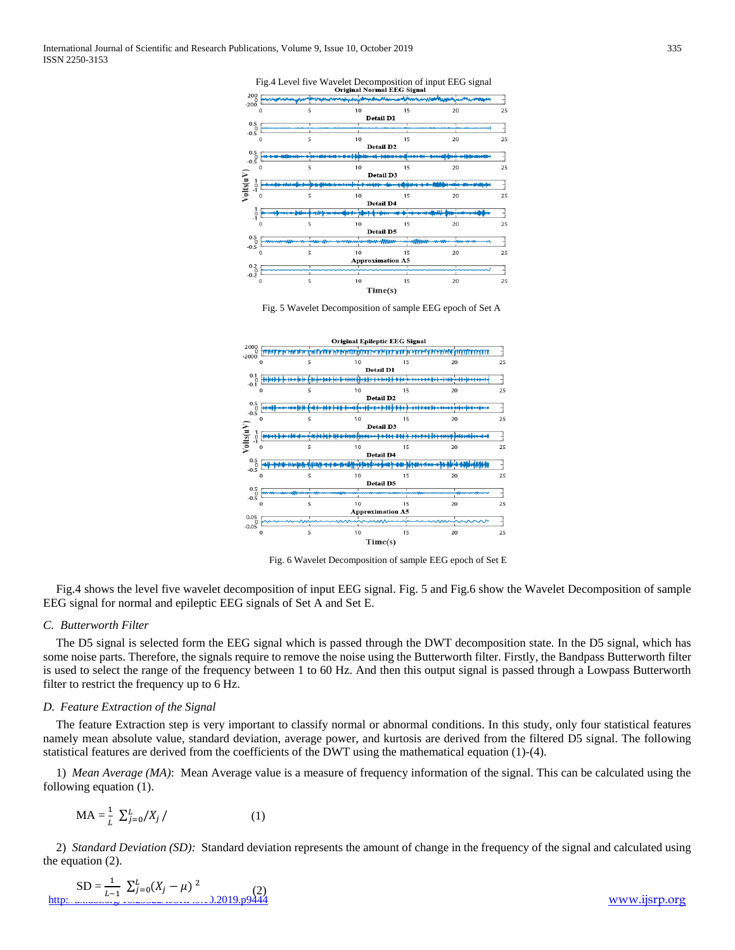Fig.4 Level five Wavelet Decomposition of input EEG signal



Fig. 5 Wavelet Decomposition of sample EEG epoch of Set A



Fig. 6 Wavelet Decomposition of sample EEG epoch of Set E

Fig.4 shows the level five wavelet decomposition of input EEG signal. Fig. 5 and Fig.6 show the Wavelet Decomposition of sample EEG signal for normal and epileptic EEG signals of Set A and Set E.

### *C. Butterworth Filter*

The D5 signal is selected form the EEG signal which is passed through the DWT decomposition state. In the D5 signal, which has some noise parts. Therefore, the signals require to remove the noise using the Butterworth filter. Firstly, the Bandpass Butterworth filter is used to select the range of the frequency between 1 to 60 Hz. And then this output signal is passed through a Lowpass Butterworth filter to restrict the frequency up to 6 Hz.

#### *D. Feature Extraction of the Signal*

The feature Extraction step is very important to classify normal or abnormal conditions. In this study, only four statistical features namely mean absolute value, standard deviation, average power, and kurtosis are derived from the filtered D5 signal. The following statistical features are derived from the coefficients of the DWT using the mathematical equation (1)-(4).

1) *Mean Average (MA)*: Mean Average value is a measure of frequency information of the signal. This can be calculated using the following equation (1).

$$
MA = \frac{1}{L} \sum_{j=0}^{L} /X_j / \tag{1}
$$

2) *Standard Deviation (SD):* Standard deviation represents the amount of change in the frequency of the signal and calculated using the equation (2).

$$
SD = \frac{1}{L-1} \sum_{j=0}^{L} (X_j - \mu)^2
$$
\nhttp://www.www.www.0019.109444

[www.ijsrp.org](http://ijsrp.org/)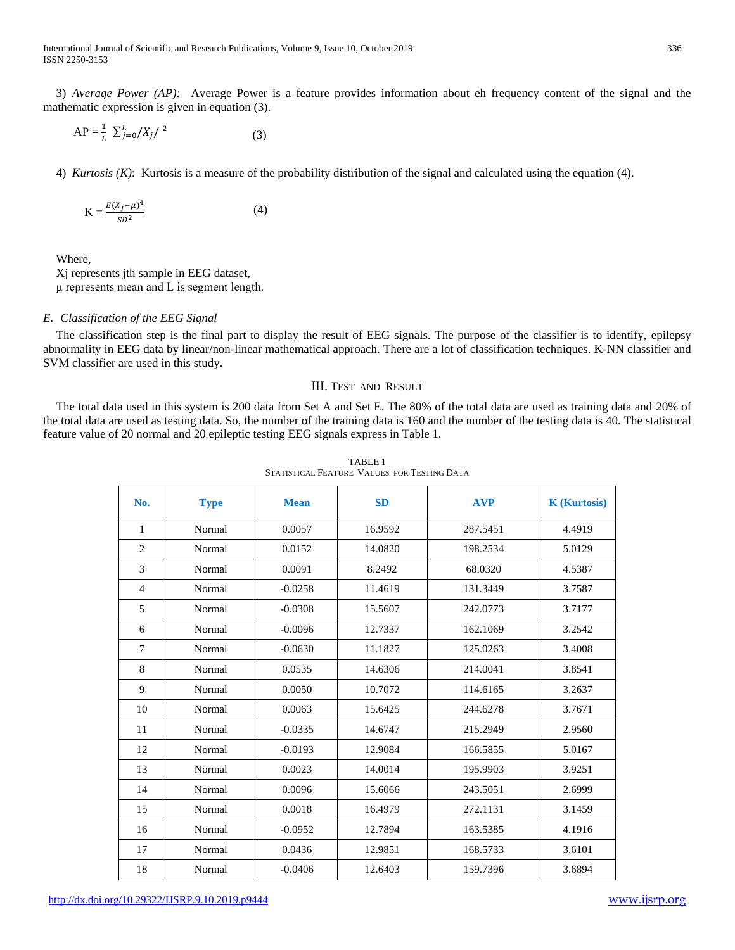3) *Average Power (AP):* Average Power is a feature provides information about eh frequency content of the signal and the mathematic expression is given in equation (3).

$$
AP = \frac{1}{L} \sum_{j=0}^{L} /X_j / 2
$$
 (3)

4) *Kurtosis (K)*: Kurtosis is a measure of the probability distribution of the signal and calculated using the equation (4).

$$
K = \frac{E(X_j - \mu)^4}{SD^2} \tag{4}
$$

Where,

Xj represents jth sample in EEG dataset, μ represents mean and L is segment length.

## *E. Classification of the EEG Signal*

The classification step is the final part to display the result of EEG signals. The purpose of the classifier is to identify, epilepsy abnormality in EEG data by linear/non-linear mathematical approach. There are a lot of classification techniques. K-NN classifier and SVM classifier are used in this study.

#### III. TEST AND RESULT

The total data used in this system is 200 data from Set A and Set E. The 80% of the total data are used as training data and 20% of the total data are used as testing data. So, the number of the training data is 160 and the number of the testing data is 40. The statistical feature value of 20 normal and 20 epileptic testing EEG signals express in Table 1.

| No.            | <b>Type</b> | <b>Mean</b> | <b>SD</b> | <b>AVP</b> | <b>K</b> (Kurtosis) |
|----------------|-------------|-------------|-----------|------------|---------------------|
| 1              | Normal      | 0.0057      | 16.9592   | 287.5451   | 4.4919              |
| $\overline{2}$ | Normal      | 0.0152      | 14.0820   | 198.2534   | 5.0129              |
| 3              | Normal      | 0.0091      | 8.2492    | 68.0320    | 4.5387              |
| $\overline{4}$ | Normal      | $-0.0258$   | 11.4619   | 131.3449   | 3.7587              |
| 5              | Normal      | $-0.0308$   | 15.5607   | 242.0773   | 3.7177              |
| 6              | Normal      | $-0.0096$   | 12.7337   | 162.1069   | 3.2542              |
| 7              | Normal      | $-0.0630$   | 11.1827   | 125.0263   | 3.4008              |
| 8              | Normal      | 0.0535      | 14.6306   | 214.0041   | 3.8541              |
| 9              | Normal      | 0.0050      | 10.7072   | 114.6165   | 3.2637              |
| 10             | Normal      | 0.0063      | 15.6425   | 244.6278   | 3.7671              |
| 11             | Normal      | $-0.0335$   | 14.6747   | 215.2949   | 2.9560              |
| 12             | Normal      | $-0.0193$   | 12.9084   | 166.5855   | 5.0167              |
| 13             | Normal      | 0.0023      | 14.0014   | 195.9903   | 3.9251              |
| 14             | Normal      | 0.0096      | 15.6066   | 243.5051   | 2.6999              |
| 15             | Normal      | 0.0018      | 16.4979   | 272.1131   | 3.1459              |
| 16             | Normal      | $-0.0952$   | 12.7894   | 163.5385   | 4.1916              |
| 17             | Normal      | 0.0436      | 12.9851   | 168.5733   | 3.6101              |
| 18             | Normal      | $-0.0406$   | 12.6403   | 159.7396   | 3.6894              |

TABLE 1 STATISTICAL FEATURE VALUES FOR TESTING DATA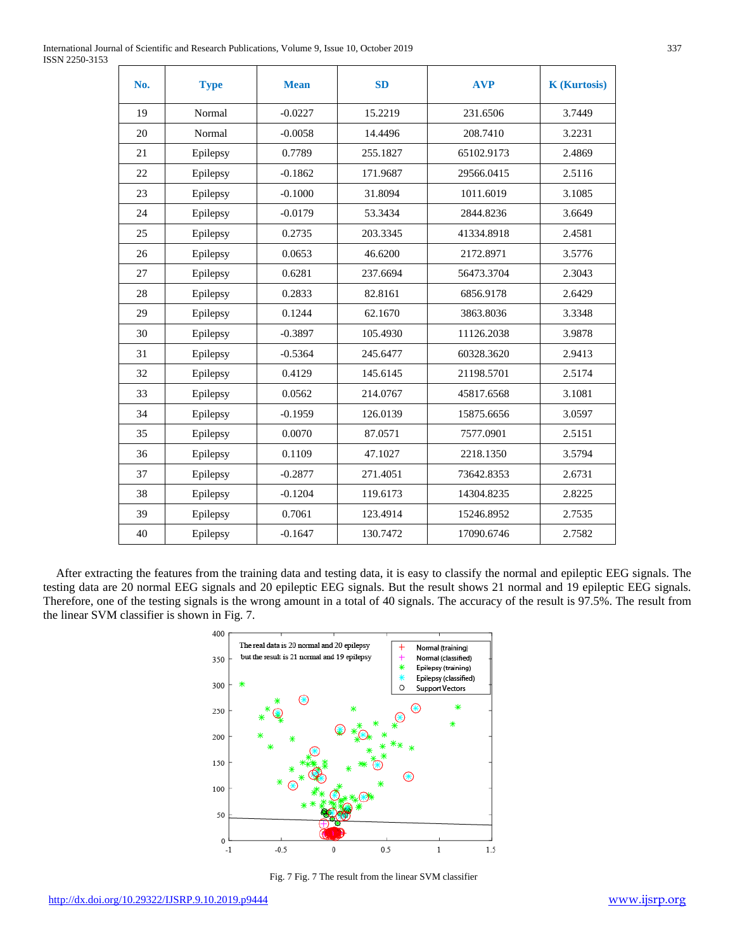| International Journal of Scientific and Research Publications, Volume 9, Issue 10, October 2019 | 337 |
|-------------------------------------------------------------------------------------------------|-----|
| ISSN 2250-3153                                                                                  |     |

| No. | <b>Type</b> | <b>Mean</b> | <b>SD</b> | <b>AVP</b> | <b>K</b> (Kurtosis) |
|-----|-------------|-------------|-----------|------------|---------------------|
| 19  | Normal      | $-0.0227$   | 15.2219   | 231.6506   | 3.7449              |
| 20  | Normal      | $-0.0058$   | 14.4496   | 208.7410   | 3.2231              |
| 21  | Epilepsy    | 0.7789      | 255.1827  | 65102.9173 | 2.4869              |
| 22  | Epilepsy    | $-0.1862$   | 171.9687  | 29566.0415 | 2.5116              |
| 23  | Epilepsy    | $-0.1000$   | 31.8094   | 1011.6019  | 3.1085              |
| 24  | Epilepsy    | $-0.0179$   | 53.3434   | 2844.8236  | 3.6649              |
| 25  | Epilepsy    | 0.2735      | 203.3345  | 41334.8918 | 2.4581              |
| 26  | Epilepsy    | 0.0653      | 46.6200   | 2172.8971  | 3.5776              |
| 27  | Epilepsy    | 0.6281      | 237.6694  | 56473.3704 | 2.3043              |
| 28  | Epilepsy    | 0.2833      | 82.8161   | 6856.9178  | 2.6429              |
| 29  | Epilepsy    | 0.1244      | 62.1670   | 3863.8036  | 3.3348              |
| 30  | Epilepsy    | $-0.3897$   | 105.4930  | 11126.2038 | 3.9878              |
| 31  | Epilepsy    | $-0.5364$   | 245.6477  | 60328.3620 | 2.9413              |
| 32  | Epilepsy    | 0.4129      | 145.6145  | 21198.5701 | 2.5174              |
| 33  | Epilepsy    | 0.0562      | 214.0767  | 45817.6568 | 3.1081              |
| 34  | Epilepsy    | $-0.1959$   | 126.0139  | 15875.6656 | 3.0597              |
| 35  | Epilepsy    | 0.0070      | 87.0571   | 7577.0901  | 2.5151              |
| 36  | Epilepsy    | 0.1109      | 47.1027   | 2218.1350  | 3.5794              |
| 37  | Epilepsy    | $-0.2877$   | 271.4051  | 73642.8353 | 2.6731              |
| 38  | Epilepsy    | $-0.1204$   | 119.6173  | 14304.8235 | 2.8225              |
| 39  | Epilepsy    | 0.7061      | 123.4914  | 15246.8952 | 2.7535              |
| 40  | Epilepsy    | $-0.1647$   | 130.7472  | 17090.6746 | 2.7582              |

After extracting the features from the training data and testing data, it is easy to classify the normal and epileptic EEG signals. The testing data are 20 normal EEG signals and 20 epileptic EEG signals. But the result shows 21 normal and 19 epileptic EEG signals. Therefore, one of the testing signals is the wrong amount in a total of 40 signals. The accuracy of the result is 97.5%. The result from the linear SVM classifier is shown in Fig. 7.



Fig. 7 Fig. 7 The result from the linear SVM classifier